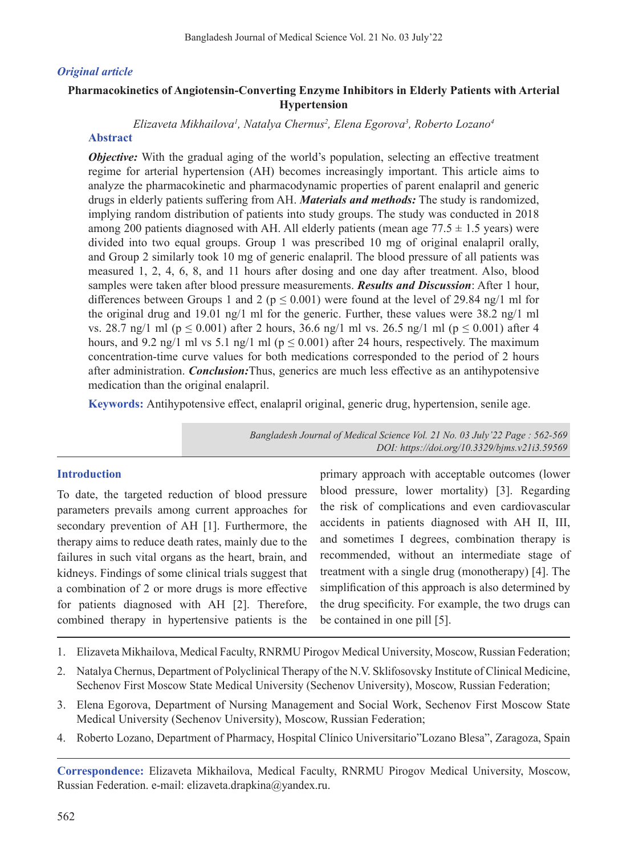## *Original article*

# **Pharmacokinetics of Angiotensin-Converting Enzyme Inhibitors in Elderly Patients with Arterial Hypertension**

*Elizaveta Mikhailova1 , Natalya Chernus2 , Elena Egorova3 , Roberto Lozano4*

# **Abstract**

*Objective:* With the gradual aging of the world's population, selecting an effective treatment regime for arterial hypertension (AH) becomes increasingly important. This article aims to analyze the pharmacokinetic and pharmacodynamic properties of parent enalapril and generic drugs in elderly patients suffering from AH. *Materials and methods:* The study is randomized, implying random distribution of patients into study groups. The study was conducted in 2018 among 200 patients diagnosed with AH. All elderly patients (mean age  $77.5 \pm 1.5$  years) were divided into two equal groups. Group 1 was prescribed 10 mg of original enalapril orally, and Group 2 similarly took 10 mg of generic enalapril. The blood pressure of all patients was measured 1, 2, 4, 6, 8, and 11 hours after dosing and one day after treatment. Also, blood samples were taken after blood pressure measurements. *Results and Discussion*: After 1 hour, differences between Groups 1 and 2 ( $p \le 0.001$ ) were found at the level of 29.84 ng/1 ml for the original drug and 19.01 ng/1 ml for the generic. Further, these values were 38.2 ng/1 ml vs. 28.7 ng/1 ml (p  $\leq$  0.001) after 2 hours, 36.6 ng/1 ml vs. 26.5 ng/1 ml (p  $\leq$  0.001) after 4 hours, and 9.2 ng/1 ml vs 5.1 ng/1 ml ( $p \le 0.001$ ) after 24 hours, respectively. The maximum concentration-time curve values for both medications corresponded to the period of 2 hours after administration. *Conclusion:*Thus, generics are much less effective as an antihypotensive medication than the original enalapril.

**Keywords:** Antihypotensive effect, enalapril original, generic drug, hypertension, senile age.

*Bangladesh Journal of Medical Science Vol. 21 No. 03 July'22 Page : 562-569 DOI: https://doi.org/10.3329/bjms.v21i3.59569*

# **Introduction**

To date, the targeted reduction of blood pressure parameters prevails among current approaches for secondary prevention of AH [1]. Furthermore, the therapy aims to reduce death rates, mainly due to the failures in such vital organs as the heart, brain, and kidneys. Findings of some clinical trials suggest that a combination of 2 or more drugs is more effective for patients diagnosed with AH [2]. Therefore, combined therapy in hypertensive patients is the

primary approach with acceptable outcomes (lower blood pressure, lower mortality) [3]. Regarding the risk of complications and even cardiovascular accidents in patients diagnosed with AH II, III, and sometimes I degrees, combination therapy is recommended, without an intermediate stage of treatment with a single drug (monotherapy) [4]. The simplification of this approach is also determined by the drug specificity. For example, the two drugs can be contained in one pill [5].

- 1. Elizaveta Mikhailova, Medical Faculty, RNRMU Pirogov Medical University, Moscow, Russian Federation;
- 2. Natalya Chernus, Department of Polyclinical Therapy of the N.V. Sklifosovsky Institute of Clinical Medicine, Sechenov First Moscow State Medical University (Sechenov University), Moscow, Russian Federation;
- 3. Elena Egorova, Department of Nursing Management and Social Work, Sechenov First Moscow State Medical University (Sechenov University), Moscow, Russian Federation;
- 4. Roberto Lozano, Department of Pharmacy, Hospital Clínico Universitario"Lozano Blesa", Zaragoza, Spain

**Correspondence:** Elizaveta Mikhailova, Medical Faculty, RNRMU Pirogov Medical University, Moscow, Russian Federation. e-mail: elizaveta.drapkina@yandex.ru.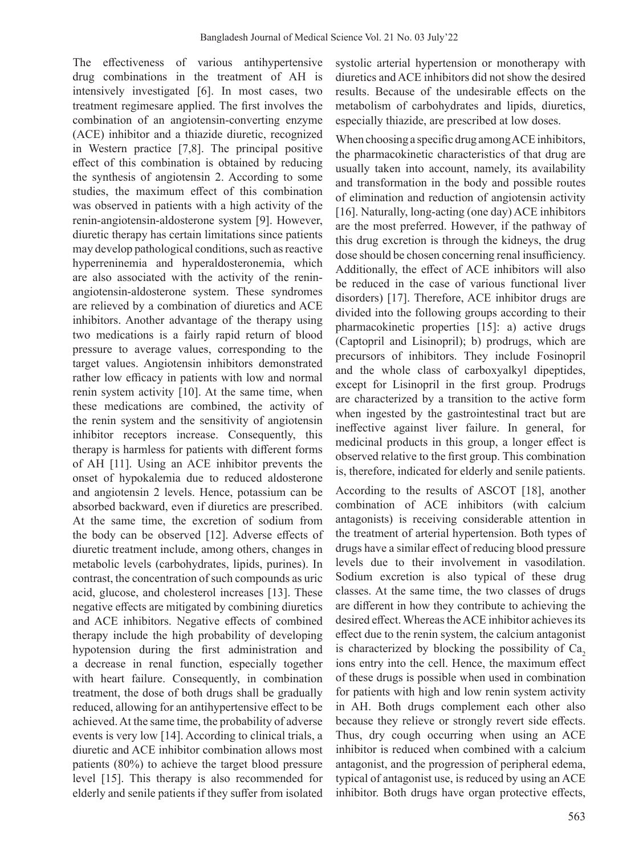The effectiveness of various antihypertensive drug combinations in the treatment of AH is intensively investigated [6]. In most cases, two treatment regimesare applied. The first involves the combination of an angiotensin-converting enzyme (ACE) inhibitor and a thiazide diuretic, recognized in Western practice [7,8]. The principal positive effect of this combination is obtained by reducing the synthesis of angiotensin 2. According to some studies, the maximum effect of this combination was observed in patients with a high activity of the renin-angiotensin-aldosterone system [9]. However, diuretic therapy has certain limitations since patients may develop pathological conditions, such as reactive hyperreninemia and hyperaldosteronemia, which are also associated with the activity of the reninangiotensin-aldosterone system. These syndromes are relieved by a combination of diuretics and ACE inhibitors. Another advantage of the therapy using two medications is a fairly rapid return of blood pressure to average values, corresponding to the target values. Angiotensin inhibitors demonstrated rather low efficacy in patients with low and normal renin system activity [10]. At the same time, when these medications are combined, the activity of the renin system and the sensitivity of angiotensin inhibitor receptors increase. Consequently, this therapy is harmless for patients with different forms of AH [11]. Using an ACE inhibitor prevents the onset of hypokalemia due to reduced aldosterone and angiotensin 2 levels. Hence, potassium can be absorbed backward, even if diuretics are prescribed. At the same time, the excretion of sodium from the body can be observed [12]. Adverse effects of diuretic treatment include, among others, changes in metabolic levels (carbohydrates, lipids, purines). In contrast, the concentration of such compounds as uric acid, glucose, and cholesterol increases [13]. These negative effects are mitigated by combining diuretics and ACE inhibitors. Negative effects of combined therapy include the high probability of developing hypotension during the first administration and a decrease in renal function, especially together with heart failure. Consequently, in combination treatment, the dose of both drugs shall be gradually reduced, allowing for an antihypertensive effect to be achieved. At the same time, the probability of adverse events is very low [14]. According to clinical trials, a diuretic and ACE inhibitor combination allows most patients (80%) to achieve the target blood pressure level [15]. This therapy is also recommended for elderly and senile patients if they suffer from isolated

systolic arterial hypertension or monotherapy with diuretics and ACE inhibitors did not show the desired results. Because of the undesirable effects on the metabolism of carbohydrates and lipids, diuretics, especially thiazide, are prescribed at low doses.

When choosing a specific drug among ACE inhibitors, the pharmacokinetic characteristics of that drug are usually taken into account, namely, its availability and transformation in the body and possible routes of elimination and reduction of angiotensin activity [16]. Naturally, long-acting (one day) ACE inhibitors are the most preferred. However, if the pathway of this drug excretion is through the kidneys, the drug dose should be chosen concerning renal insufficiency. Additionally, the effect of ACE inhibitors will also be reduced in the case of various functional liver disorders) [17]. Therefore, ACE inhibitor drugs are divided into the following groups according to their pharmacokinetic properties [15]: a) active drugs (Captopril and Lisinopril); b) prodrugs, which are precursors of inhibitors. They include Fosinopril and the whole class of carboxyalkyl dipeptides, except for Lisinopril in the first group. Prodrugs are characterized by a transition to the active form when ingested by the gastrointestinal tract but are ineffective against liver failure. In general, for medicinal products in this group, a longer effect is observed relative to the first group. This combination is, therefore, indicated for elderly and senile patients.

According to the results of ASCOT [18], another combination of ACE inhibitors (with calcium antagonists) is receiving considerable attention in the treatment of arterial hypertension. Both types of drugs have a similar effect of reducing blood pressure levels due to their involvement in vasodilation. Sodium excretion is also typical of these drug classes. At the same time, the two classes of drugs are different in how they contribute to achieving the desired effect. Whereas the ACE inhibitor achieves its effect due to the renin system, the calcium antagonist is characterized by blocking the possibility of  $Ca<sub>2</sub>$ ions entry into the cell. Hence, the maximum effect of these drugs is possible when used in combination for patients with high and low renin system activity in AH. Both drugs complement each other also because they relieve or strongly revert side effects. Thus, dry cough occurring when using an ACE inhibitor is reduced when combined with a calcium antagonist, and the progression of peripheral edema, typical of antagonist use, is reduced by using an ACE inhibitor. Both drugs have organ protective effects,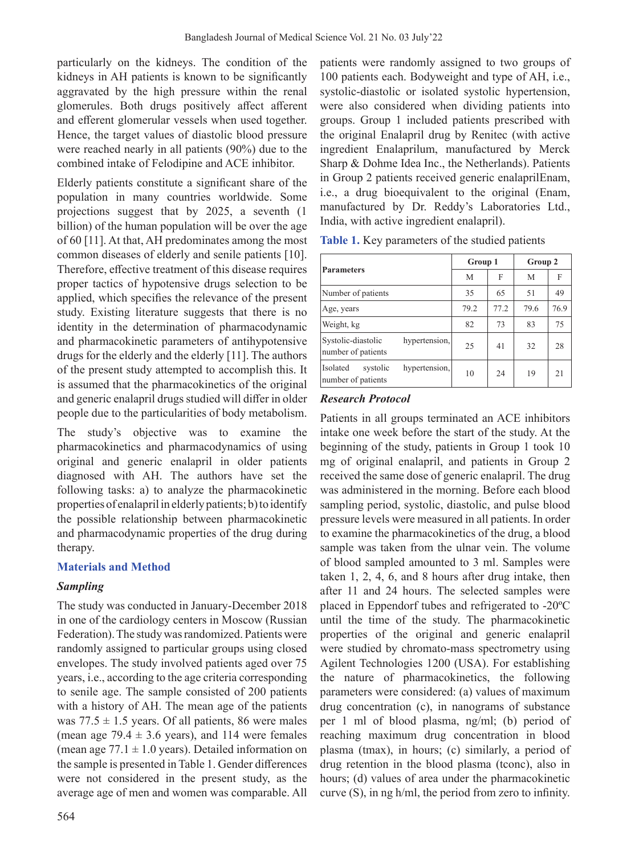particularly on the kidneys. The condition of the kidneys in AH patients is known to be significantly aggravated by the high pressure within the renal glomerules. Both drugs positively affect afferent and efferent glomerular vessels when used together. Hence, the target values of diastolic blood pressure were reached nearly in all patients (90%) due to the combined intake of Felodipine and ACE inhibitor.

Elderly patients constitute a significant share of the population in many countries worldwide. Some projections suggest that by 2025, a seventh (1 billion) of the human population will be over the age of 60 [11]. At that, AH predominates among the most common diseases of elderly and senile patients [10]. Therefore, effective treatment of this disease requires proper tactics of hypotensive drugs selection to be applied, which specifies the relevance of the present study. Existing literature suggests that there is no identity in the determination of pharmacodynamic and pharmacokinetic parameters of antihypotensive drugs for the elderly and the elderly [11]. The authors of the present study attempted to accomplish this. It is assumed that the pharmacokinetics of the original and generic enalapril drugs studied will differ in older people due to the particularities of body metabolism.

The study's objective was to examine the pharmacokinetics and pharmacodynamics of using original and generic enalapril in older patients diagnosed with AH. The authors have set the following tasks: a) to analyze the pharmacokinetic properties of enalapril in elderly patients; b) to identify the possible relationship between pharmacokinetic and pharmacodynamic properties of the drug during therapy.

# **Materials and Method**

# *Sampling*

The study was conducted in January-December 2018 in one of the cardiology centers in Moscow (Russian Federation). The study was randomized. Patients were randomly assigned to particular groups using closed envelopes. The study involved patients aged over 75 years, i.e., according to the age criteria corresponding to senile age. The sample consisted of 200 patients with a history of AH. The mean age of the patients was  $77.5 \pm 1.5$  years. Of all patients, 86 were males (mean age  $79.4 \pm 3.6$  years), and 114 were females (mean age  $77.1 \pm 1.0$  years). Detailed information on the sample is presented in Table 1. Gender differences were not considered in the present study, as the average age of men and women was comparable. All

564

patients were randomly assigned to two groups of 100 patients each. Bodyweight and type of AH, i.e., systolic-diastolic or isolated systolic hypertension, were also considered when dividing patients into groups. Group 1 included patients prescribed with the original Enalapril drug by Reniteс (with active ingredient Enalaprilum, manufactured by Merck Sharp & Dohme Idea Inc., the Netherlands). Patients in Group 2 patients received generic enalaprilEnam, i.e., a drug bioequivalent to the original (Enam, manufactured by Dr. Reddy's Laboratories Ltd., India, with active ingredient enalapril).

|                                                             | Group 1 |      | Group 2 |      |
|-------------------------------------------------------------|---------|------|---------|------|
| <b>Parameters</b>                                           | M       | F    | M       | F    |
| Number of patients                                          | 35      | 65   | 51      | 49   |
| Age, years                                                  | 79.2    | 77.2 | 79.6    | 76.9 |
| Weight, kg                                                  | 82      | 73   | 83      | 75   |
| hypertension,<br>Systolic-diastolic<br>number of patients   | 25      | 41   | 32      | 28   |
| Isolated<br>hypertension,<br>systolic<br>number of patients | 10      | 24   | 19      | 21   |

**Table 1.** Key parameters of the studied patients

# *Research Protocol*

Patients in all groups terminated an ACE inhibitors intake one week before the start of the study. At the beginning of the study, patients in Group 1 took 10 mg of original enalapril, and patients in Group 2 received the same dose of generic enalapril. The drug was administered in the morning. Before each blood sampling period, systolic, diastolic, and pulse blood pressure levels were measured in all patients. In order to examine the pharmacokinetics of the drug, a blood sample was taken from the ulnar vein. The volume of blood sampled amounted to 3 ml. Samples were taken 1, 2, 4, 6, and 8 hours after drug intake, then after 11 and 24 hours. The selected samples were placed in Eppendorf tubes and refrigerated to -20ºC until the time of the study. The pharmacokinetic properties of the original and generic enalapril were studied by chromato-mass spectrometry using Agilent Technologies 1200 (USA). For establishing the nature of pharmacokinetics, the following parameters were considered: (a) values of maximum drug concentration (c), in nanograms of substance per 1 ml of blood plasma, ng/ml; (b) period of reaching maximum drug concentration in blood plasma (tmax), in hours; (c) similarly, a period of drug retention in the blood plasma (tconc), also in hours; (d) values of area under the pharmacokinetic curve (S), in ng h/ml, the period from zero to infinity.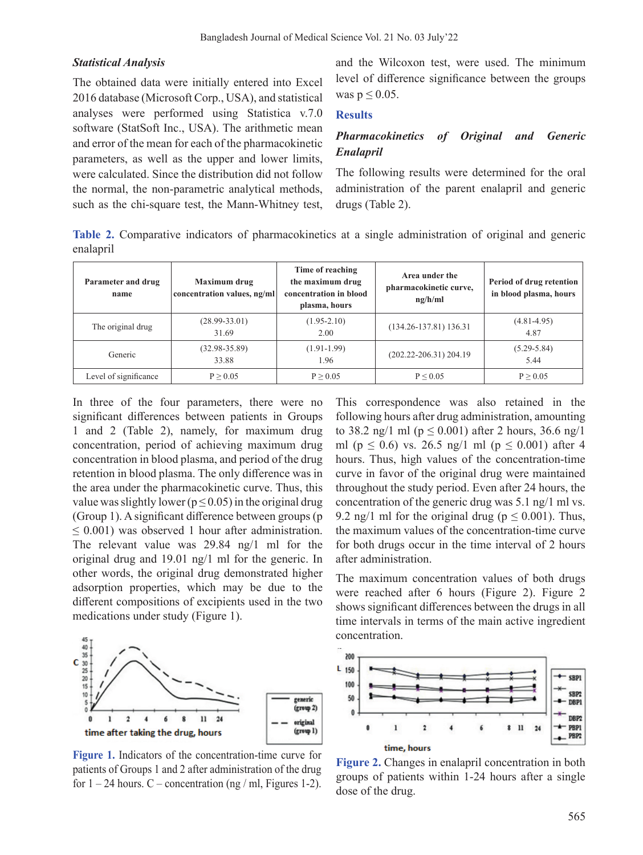#### *Statistical Analysis*

The obtained data were initially entered into Excel 2016 database (Microsoft Corp., USA), and statistical analyses were performed using Statistica v.7.0 software (StatSoft Inc., USA). The arithmetic mean and error of the mean for each of the pharmacokinetic parameters, as well as the upper and lower limits, were calculated. Since the distribution did not follow the normal, the non-parametric analytical methods, such as the chi-square test, the Mann-Whitney test, and the Wilcoxon test, were used. The minimum level of difference significance between the groups was  $p \leq 0.05$ .

#### **Results**

# *Pharmacokinetics of Original and Generic Enalapril*

The following results were determined for the oral administration of the parent enalapril and generic drugs (Table 2).

**Table 2.** Comparative indicators of pharmacokinetics at a single administration of original and generic enalapril

| Parameter and drug<br>name | Maximum drug<br>concentration values, ng/ml | Time of reaching<br>the maximum drug<br>concentration in blood<br>plasma, hours | Area under the<br>pharmacokinetic curve,<br>ng/h/ml | Period of drug retention<br>in blood plasma, hours |
|----------------------------|---------------------------------------------|---------------------------------------------------------------------------------|-----------------------------------------------------|----------------------------------------------------|
| The original drug          | $(28.99 - 33.01)$<br>31.69                  | $(1.95 - 2.10)$<br>2.00                                                         | $(134.26 - 137.81)$ 136.31                          | $(4.81 - 4.95)$<br>4.87                            |
| Generic                    | $(32.98-35.89)$<br>33.88                    | $(1.91-1.99)$<br>1.96                                                           | $(202.22 - 206.31)$ 204.19                          | $(5.29 - 5.84)$<br>5.44                            |
| Level of significance      | P > 0.05                                    | P > 0.05                                                                        | P < 0.05                                            | P > 0.05                                           |

In three of the four parameters, there were no significant differences between patients in Groups 1 and 2 (Table 2), namely, for maximum drug concentration, period of achieving maximum drug concentration in blood plasma, and period of the drug retention in blood plasma. The only difference was in the area under the pharmacokinetic curve. Thus, this value was slightly lower ( $p \le 0.05$ ) in the original drug (Group 1). A significant difference between groups (p  $\leq$  0.001) was observed 1 hour after administration. The relevant value was 29.84 ng/1 ml for the original drug and 19.01 ng/1 ml for the generic. In other words, the original drug demonstrated higher adsorption properties, which may be due to the different compositions of excipients used in the two medications under study (Figure 1).



**Figure 1.** Indicators of the concentration-time curve for patients of Groups 1 and 2 after administration of the drug for  $1 - 24$  hours. C – concentration (ng / ml, Figures 1-2).

This correspondence was also retained in the following hours after drug administration, amounting to 38.2 ng/1 ml ( $p \le 0.001$ ) after 2 hours, 36.6 ng/1 ml ( $p \le 0.6$ ) vs. 26.5 ng/1 ml ( $p \le 0.001$ ) after 4 hours. Thus, high values of the concentration-time curve in favor of the original drug were maintained throughout the study period. Even after 24 hours, the concentration of the generic drug was 5.1 ng/1 ml vs. 9.2 ng/1 ml for the original drug ( $p \le 0.001$ ). Thus, the maximum values of the concentration-time curve for both drugs occur in the time interval of 2 hours after administration.

The maximum concentration values of both drugs were reached after 6 hours (Figure 2). Figure 2 shows significant differences between the drugs in all time intervals in terms of the main active ingredient concentration.



**Figure 2.** Changes in enalapril concentration in both groups of patients within 1-24 hours after a single dose of the drug.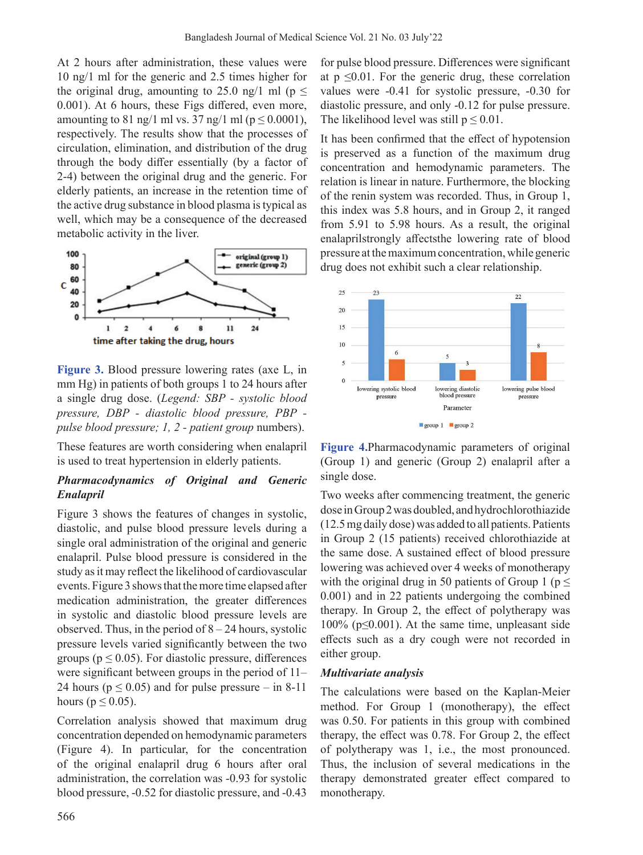At 2 hours after administration, these values were 10 ng/1 ml for the generic and 2.5 times higher for the original drug, amounting to 25.0 ng/1 ml ( $p \le$ 0.001). At 6 hours, these Figs differed, even more, amounting to 81 ng/1 ml vs. 37 ng/1 ml ( $p \le 0.0001$ ), respectively. The results show that the processes of circulation, elimination, and distribution of the drug through the body differ essentially (by a factor of 2-4) between the original drug and the generic. For elderly patients, an increase in the retention time of the active drug substance in blood plasma is typical as well, which may be a consequence of the decreased metabolic activity in the liver.



**Figure 3.** Blood pressure lowering rates (axe L, in mm Hg) in patients of both groups 1 to 24 hours after a single drug dose. (*Legend: SBP - systolic blood pressure, DBP - diastolic blood pressure, PBP pulse blood pressure; 1, 2 - patient group* numbers).

These features are worth considering when enalapril is used to treat hypertension in elderly patients.

# *Pharmacodynamics of Original and Generic Enalapril*

Figure 3 shows the features of changes in systolic, diastolic, and pulse blood pressure levels during a single oral administration of the original and generic enalapril. Pulse blood pressure is considered in the study as it may reflect the likelihood of cardiovascular events. Figure 3 shows that the more time elapsed after medication administration, the greater differences in systolic and diastolic blood pressure levels are observed. Thus, in the period of  $8 - 24$  hours, systolic pressure levels varied significantly between the two groups ( $p \le 0.05$ ). For diastolic pressure, differences were significant between groups in the period of 11– 24 hours ( $p \le 0.05$ ) and for pulse pressure – in 8-11 hours ( $p \leq 0.05$ ).

Correlation analysis showed that maximum drug concentration depended on hemodynamic parameters (Figure 4). In particular, for the concentration of the original enalapril drug 6 hours after oral administration, the correlation was -0.93 for systolic blood pressure, -0.52 for diastolic pressure, and -0.43

for pulse blood pressure. Differences were significant at  $p \leq 0.01$ . For the generic drug, these correlation values were -0.41 for systolic pressure, -0.30 for diastolic pressure, and only -0.12 for pulse pressure. The likelihood level was still  $p \leq 0.01$ .

It has been confirmed that the effect of hypotension is preserved as a function of the maximum drug concentration and hemodynamic parameters. The relation is linear in nature. Furthermore, the blocking of the renin system was recorded. Thus, in Group 1, this index was 5.8 hours, and in Group 2, it ranged from 5.91 to 5.98 hours. As a result, the original enalaprilstrongly affectsthe lowering rate of blood pressure at the maximum concentration, while generic drug does not exhibit such a clear relationship.



**Figure 4.**Pharmacodynamic parameters of original (Group 1) and generic (Group 2) enalapril after a single dose.

Two weeks after commencing treatment, the generic dose in Group 2 was doubled, and hydrochlorothiazide (12.5 mg daily dose) was added to all patients. Patients in Group 2 (15 patients) received chlorothiazide at the same dose. A sustained effect of blood pressure lowering was achieved over 4 weeks of monotherapy with the original drug in 50 patients of Group 1 ( $p \leq$ 0.001) and in 22 patients undergoing the combined therapy. In Group 2, the effect of polytherapy was 100% (p≤0.001). At the same time, unpleasant side effects such as a dry cough were not recorded in either group.

# *Multivariate analysis*

The calculations were based on the Kaplan-Meier method. For Group 1 (monotherapy), the effect was 0.50. For patients in this group with combined therapy, the effect was 0.78. For Group 2, the effect of polytherapy was 1, i.e., the most pronounced. Thus, the inclusion of several medications in the therapy demonstrated greater effect compared to monotherapy.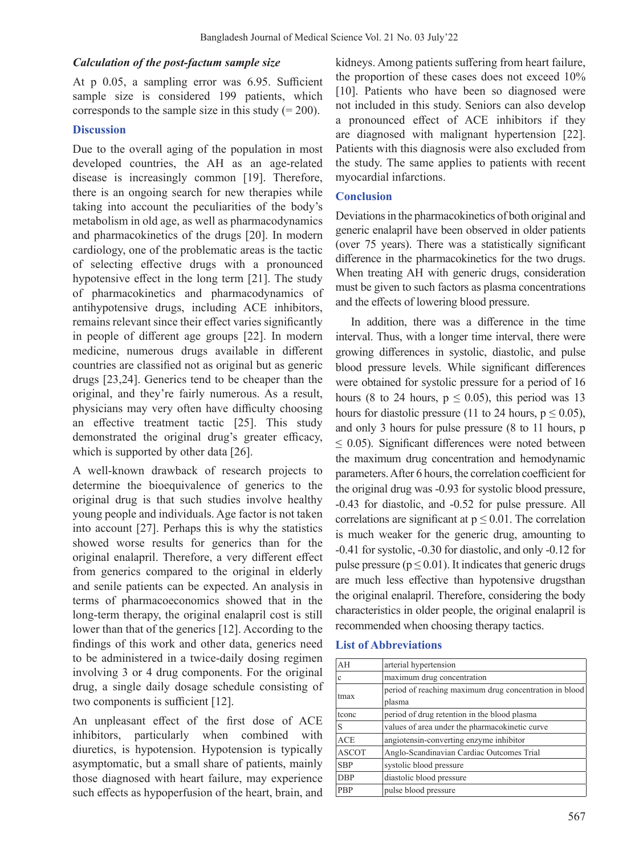#### *Calculation of the post-factum sample size*

At p 0.05, a sampling error was 6.95. Sufficient sample size is considered 199 patients, which corresponds to the sample size in this study  $(= 200)$ .

### **Discussion**

Due to the overall aging of the population in most developed countries, the AH as an age-related disease is increasingly common [19]. Therefore, there is an ongoing search for new therapies while taking into account the peculiarities of the body's metabolism in old age, as well as pharmacodynamics and pharmacokinetics of the drugs [20]. In modern cardiology, one of the problematic areas is the tactic of selecting effective drugs with a pronounced hypotensive effect in the long term [21]. The study of pharmacokinetics and pharmacodynamics of antihypotensive drugs, including ACE inhibitors, remains relevant since their effect varies significantly in people of different age groups [22]. In modern medicine, numerous drugs available in different countries are classified not as original but as generic drugs [23,24]. Generics tend to be cheaper than the original, and they're fairly numerous. As a result, physicians may very often have difficulty choosing an effective treatment tactic [25]. This study demonstrated the original drug's greater efficacy, which is supported by other data [26].

A well-known drawback of research projects to determine the bioequivalence of generics to the original drug is that such studies involve healthy young people and individuals. Age factor is not taken into account [27]. Perhaps this is why the statistics showed worse results for generics than for the original enalapril. Therefore, a very different effect from generics compared to the original in elderly and senile patients can be expected. An analysis in terms of pharmacoeconomics showed that in the long-term therapy, the original enalapril cost is still lower than that of the generics [12]. According to the findings of this work and other data, generics need to be administered in a twice-daily dosing regimen involving 3 or 4 drug components. For the original drug, a single daily dosage schedule consisting of two components is sufficient [12].

An unpleasant effect of the first dose of ACE inhibitors, particularly when combined with diuretics, is hypotension. Hypotension is typically asymptomatic, but a small share of patients, mainly those diagnosed with heart failure, may experience such effects as hypoperfusion of the heart, brain, and kidneys. Among patients suffering from heart failure, the proportion of these cases does not exceed 10% [10]. Patients who have been so diagnosed were not included in this study. Seniors can also develop a pronounced effect of ACE inhibitors if they are diagnosed with malignant hypertension [22]. Patients with this diagnosis were also excluded from the study. The same applies to patients with recent myocardial infarctions.

# **Conclusion**

Deviations in the pharmacokinetics of both original and generic enalapril have been observed in older patients (over 75 years). There was a statistically significant difference in the pharmacokinetics for the two drugs. When treating AH with generic drugs, consideration must be given to such factors as plasma concentrations and the effects of lowering blood pressure.

 In addition, there was a difference in the time interval. Thus, with a longer time interval, there were growing differences in systolic, diastolic, and pulse blood pressure levels. While significant differences were obtained for systolic pressure for a period of 16 hours (8 to 24 hours,  $p \le 0.05$ ), this period was 13 hours for diastolic pressure (11 to 24 hours,  $p \le 0.05$ ), and only 3 hours for pulse pressure (8 to 11 hours, p  $\leq$  0.05). Significant differences were noted between the maximum drug concentration and hemodynamic parameters. After 6 hours, the correlation coefficient for the original drug was -0.93 for systolic blood pressure, -0.43 for diastolic, and -0.52 for pulse pressure. All correlations are significant at  $p \leq 0.01$ . The correlation is much weaker for the generic drug, amounting to -0.41 for systolic, -0.30 for diastolic, and only -0.12 for pulse pressure ( $p \le 0.01$ ). It indicates that generic drugs are much less effective than hypotensive drugsthan the original enalapril. Therefore, considering the body characteristics in older people, the original enalapril is recommended when choosing therapy tactics.

#### **List of Abbreviations**

| AH           | arterial hypertension                                  |
|--------------|--------------------------------------------------------|
|              |                                                        |
| c            | maximum drug concentration                             |
| tmax         | period of reaching maximum drug concentration in blood |
|              | plasma                                                 |
| tconc        | period of drug retention in the blood plasma           |
| S            | values of area under the pharmacokinetic curve         |
| ACE          | angiotensin-converting enzyme inhibitor                |
| <b>ASCOT</b> | Anglo-Scandinavian Cardiac Outcomes Trial              |
| <b>SBP</b>   | systolic blood pressure                                |
| <b>DBP</b>   | diastolic blood pressure                               |
| PBP          | pulse blood pressure                                   |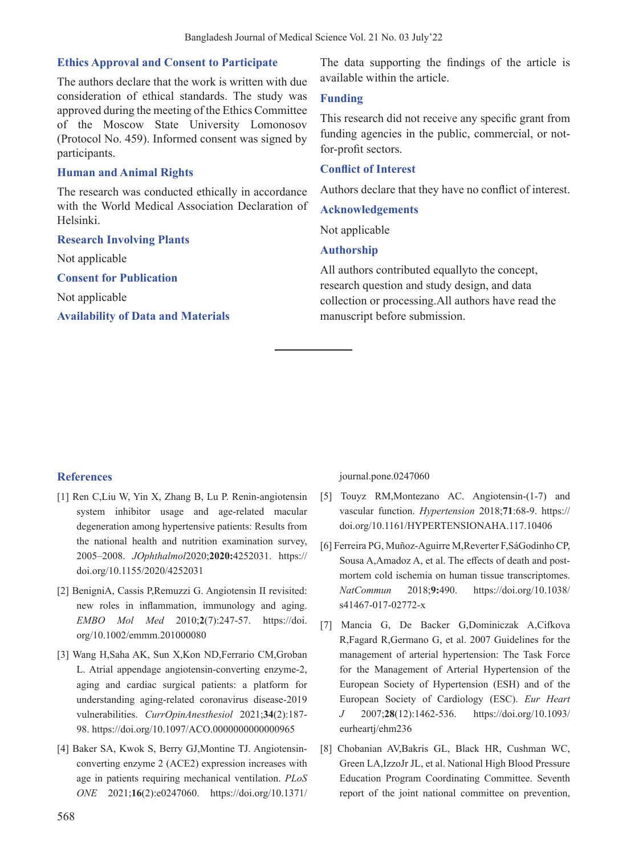# **Ethics Approval and Consent to Participate**

The authors declare that the work is written with due consideration of ethical standards. The study was approved during the meeting of the Ethics Committee of the Moscow State University Lomonosov (Protocol No. 459). Informed consent was signed by participants.

# **Human and Animal Rights**

The research was conducted ethically in accordance with the World Medical Association Declaration of Helsinki.

**Research Involving Plants**

Not applicable

**Consent for Publication**

Not applicable

#### **Availability of Data and Materials**

The data supporting the findings of the article is available within the article.

## **Funding**

This research did not receive any specific grant from funding agencies in the public, commercial, or notfor-profit sectors.

#### **Conflict of Interest**

Authors declare that they have no conflict of interest.

#### **Acknowledgements**

Not applicable

#### **Authorship**

All authors contributed equallyto the concept, research question and study design, and data collection or processing.All authors have read the manuscript before submission.

# **References**

- [1] Ren C,Liu W, Yin X, Zhang B, Lu P. Renin-angiotensin system inhibitor usage and age-related macular degeneration among hypertensive patients: Results from the national health and nutrition examination survey, 2005–2008. *JOphthalmol*2020;**2020:**4252031. https:// doi.org/10.1155/2020/4252031
- [2] BenigniA, Cassis P,Remuzzi G. Angiotensin II revisited: new roles in inflammation, immunology and aging. *EMBO Mol Med* 2010;**2**(7):247-57. https://doi. org/10.1002/emmm.201000080
- [3] Wang H,Saha AK, Sun X,Kon ND,Ferrario CM,Groban L. Atrial appendage angiotensin-converting enzyme-2, aging and cardiac surgical patients: a platform for understanding aging-related coronavirus disease-2019 vulnerabilities. *CurrOpinAnesthesiol* 2021;**34**(2):187- 98. https://doi.org/10.1097/ACO.0000000000000965
- [4] Baker SA, Kwok S, Berry GJ,Montine TJ. Angiotensinconverting enzyme 2 (ACE2) expression increases with age in patients requiring mechanical ventilation. *PLoS ONE* 2021;**16**(2):e0247060. https://doi.org/10.1371/

journal.pone.0247060

- [5] Touyz RM,Montezano AC. Angiotensin-(1-7) and vascular function. *Hypertension* 2018;**71**:68-9. https:// doi.org/10.1161/HYPERTENSIONAHA.117.10406
- [6] Ferreira PG, Muñoz-Aguirre M,Reverter F,SáGodinho CP, Sousa A,Amadoz A, et al. The effects of death and postmortem cold ischemia on human tissue transcriptomes. *NatCommun* 2018;**9:**490. https://doi.org/10.1038/ s41467-017-02772-x
- [7] Mancia G, De Backer G,Dominiczak A,Cifkova R,Fagard R,Germano G, et al. 2007 Guidelines for the management of arterial hypertension: The Task Force for the Management of Arterial Hypertension of the European Society of Hypertension (ESH) and of the European Society of Cardiology (ESC). *Eur Heart J* 2007;**28**(12):1462-536. https://doi.org/10.1093/ eurheartj/ehm236
- [8] Chobanian AV,Bakris GL, Black HR, Cushman WC, Green LA,IzzoJr JL, et al. National High Blood Pressure Education Program Coordinating Committee. Seventh report of the joint national committee on prevention,